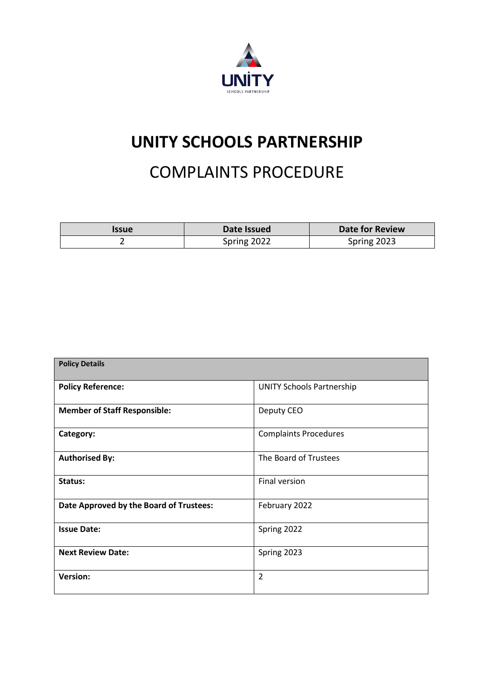

# **UNITY SCHOOLS PARTNERSHIP**

# COMPLAINTS PROCEDURE

| <b>Ssue</b> | Date Issued | <b>Date for Review</b> |
|-------------|-------------|------------------------|
|             | Spring 2022 | Spring 2023            |

| <b>Policy Details</b>                   |                                  |
|-----------------------------------------|----------------------------------|
| <b>Policy Reference:</b>                | <b>UNITY Schools Partnership</b> |
| <b>Member of Staff Responsible:</b>     | Deputy CEO                       |
| Category:                               | <b>Complaints Procedures</b>     |
| <b>Authorised By:</b>                   | The Board of Trustees            |
| Status:                                 | <b>Final version</b>             |
| Date Approved by the Board of Trustees: | February 2022                    |
| <b>Issue Date:</b>                      | Spring 2022                      |
| <b>Next Review Date:</b>                | Spring 2023                      |
| <b>Version:</b>                         | $\overline{2}$                   |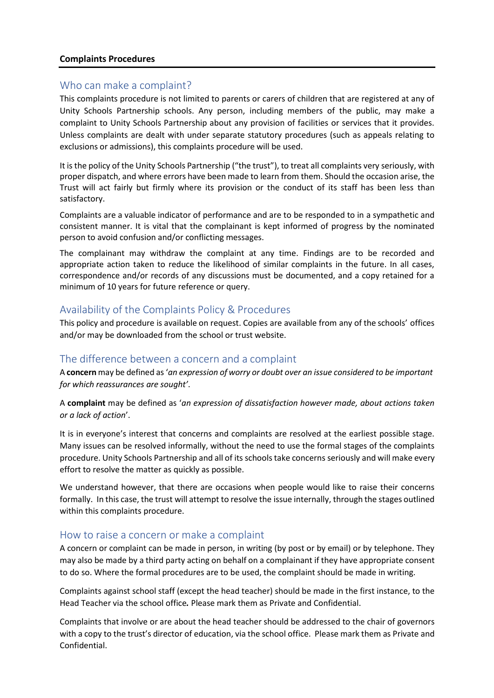#### **Complaints Procedures**

## Who can make a complaint?

This complaints procedure is not limited to parents or carers of children that are registered at any of Unity Schools Partnership schools. Any person, including members of the public, may make a complaint to Unity Schools Partnership about any provision of facilities or services that it provides. Unless complaints are dealt with under separate statutory procedures (such as appeals relating to exclusions or admissions), this complaints procedure will be used.

It is the policy of the Unity Schools Partnership ("the trust"), to treat all complaints very seriously, with proper dispatch, and where errors have been made to learn from them. Should the occasion arise, the Trust will act fairly but firmly where its provision or the conduct of its staff has been less than satisfactory.

Complaints are a valuable indicator of performance and are to be responded to in a sympathetic and consistent manner. It is vital that the complainant is kept informed of progress by the nominated person to avoid confusion and/or conflicting messages.

The complainant may withdraw the complaint at any time. Findings are to be recorded and appropriate action taken to reduce the likelihood of similar complaints in the future. In all cases, correspondence and/or records of any discussions must be documented, and a copy retained for a minimum of 10 years for future reference or query.

# Availability of the Complaints Policy & Procedures

This policy and procedure is available on request. Copies are available from any of the schools' offices and/or may be downloaded from the school or trust website.

## The difference between a concern and a complaint

A **concern**may be defined as'*an expression of worry or doubt over an issue considered to be important for which reassurances are sought'*.

A **complaint** may be defined as '*an expression of dissatisfaction however made, about actions taken or a lack of action*'.

It is in everyone's interest that concerns and complaints are resolved at the earliest possible stage. Many issues can be resolved informally, without the need to use the formal stages of the complaints procedure. Unity Schools Partnership and all of its schoolstake concerns seriously and will make every effort to resolve the matter as quickly as possible.

We understand however, that there are occasions when people would like to raise their concerns formally. In this case, the trust will attempt to resolve the issue internally, through the stages outlined within this complaints procedure.

## How to raise a concern or make a complaint

A concern or complaint can be made in person, in writing (by post or by email) or by telephone. They may also be made by a third party acting on behalf on a complainant if they have appropriate consent to do so. Where the formal procedures are to be used, the complaint should be made in writing.

Complaints against school staff (except the head teacher) should be made in the first instance, to the Head Teacher via the school office*.* Please mark them as Private and Confidential.

Complaints that involve or are about the head teacher should be addressed to the chair of governors with a copy to the trust's director of education, via the school office. Please mark them as Private and Confidential.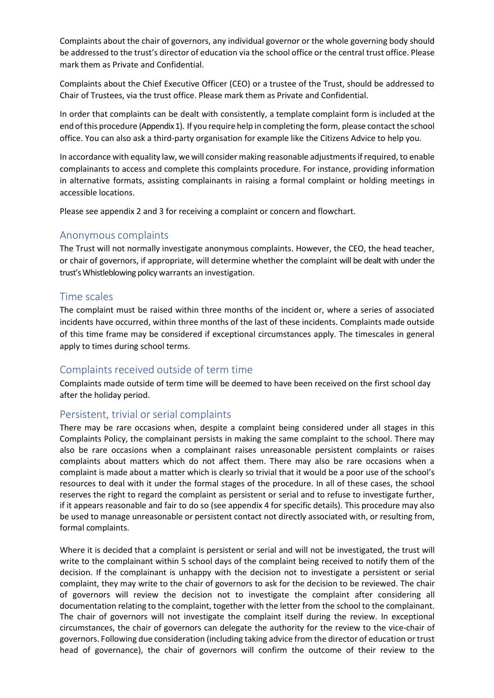Complaints about the chair of governors, any individual governor or the whole governing body should be addressed to the trust's director of education via the school office or the central trust office. Please mark them as Private and Confidential.

Complaints about the Chief Executive Officer (CEO) or a trustee of the Trust, should be addressed to Chair of Trustees, via the trust office. Please mark them as Private and Confidential.

In order that complaints can be dealt with consistently, a template complaint form is included at the end ofthis procedure (Appendix 1). If you require help in completing the form, please contact the school office. You can also ask a third-party organisation for example like the Citizens Advice to help you.

In accordance with equality law, we will consider making reasonable adjustments if required, to enable complainants to access and complete this complaints procedure. For instance, providing information in alternative formats, assisting complainants in raising a formal complaint or holding meetings in accessible locations.

Please see appendix 2 and 3 for receiving a complaint or concern and flowchart.

## Anonymous complaints

The Trust will not normally investigate anonymous complaints. However, the CEO, the head teacher, or chair of governors, if appropriate, will determine whether the complaint will be dealt with under the trust's Whistleblowing policy warrants an investigation.

#### Time scales

The complaint must be raised within three months of the incident or, where a series of associated incidents have occurred, within three months of the last of these incidents. Complaints made outside of this time frame may be considered if exceptional circumstances apply. The timescales in general apply to times during school terms.

## Complaints received outside of term time

Complaints made outside of term time will be deemed to have been received on the first school day after the holiday period.

## Persistent, trivial or serial complaints

There may be rare occasions when, despite a complaint being considered under all stages in this Complaints Policy, the complainant persists in making the same complaint to the school. There may also be rare occasions when a complainant raises unreasonable persistent complaints or raises complaints about matters which do not affect them. There may also be rare occasions when a complaint is made about a matter which is clearly so trivial that it would be a poor use of the school's resources to deal with it under the formal stages of the procedure. In all of these cases, the school reserves the right to regard the complaint as persistent or serial and to refuse to investigate further, if it appears reasonable and fair to do so (see appendix 4 for specific details). This procedure may also be used to manage unreasonable or persistent contact not directly associated with, or resulting from, formal complaints.

Where it is decided that a complaint is persistent or serial and will not be investigated, the trust will write to the complainant within 5 school days of the complaint being received to notify them of the decision. If the complainant is unhappy with the decision not to investigate a persistent or serial complaint, they may write to the chair of governors to ask for the decision to be reviewed. The chair of governors will review the decision not to investigate the complaint after considering all documentation relating to the complaint, together with the letter from the school to the complainant. The chair of governors will not investigate the complaint itself during the review. In exceptional circumstances, the chair of governors can delegate the authority for the review to the vice-chair of governors. Following due consideration (including taking advice from the director of education ortrust head of governance), the chair of governors will confirm the outcome of their review to the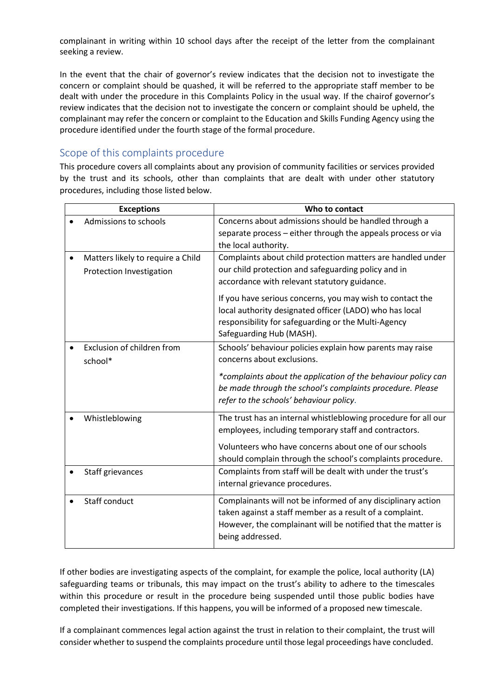complainant in writing within 10 school days after the receipt of the letter from the complainant seeking a review.

In the event that the chair of governor's review indicates that the decision not to investigate the concern or complaint should be quashed, it will be referred to the appropriate staff member to be dealt with under the procedure in this Complaints Policy in the usual way. If the chairof governor's review indicates that the decision not to investigate the concern or complaint should be upheld, the complainant may refer the concern or complaint to the Education and Skills Funding Agency using the procedure identified under the fourth stage of the formal procedure.

## Scope of this complaints procedure

This procedure covers all complaints about any provision of community facilities or services provided by the trust and its schools, other than complaints that are dealt with under other statutory procedures, including those listed below.

| <b>Exceptions</b>                 | Who to contact                                                 |  |
|-----------------------------------|----------------------------------------------------------------|--|
| Admissions to schools             | Concerns about admissions should be handled through a          |  |
|                                   | separate process - either through the appeals process or via   |  |
|                                   | the local authority.                                           |  |
| Matters likely to require a Child | Complaints about child protection matters are handled under    |  |
| Protection Investigation          | our child protection and safeguarding policy and in            |  |
|                                   | accordance with relevant statutory guidance.                   |  |
|                                   | If you have serious concerns, you may wish to contact the      |  |
|                                   | local authority designated officer (LADO) who has local        |  |
|                                   | responsibility for safeguarding or the Multi-Agency            |  |
|                                   | Safeguarding Hub (MASH).                                       |  |
| Exclusion of children from        | Schools' behaviour policies explain how parents may raise      |  |
| school*                           | concerns about exclusions.                                     |  |
|                                   | *complaints about the application of the behaviour policy can  |  |
|                                   | be made through the school's complaints procedure. Please      |  |
|                                   | refer to the schools' behaviour policy.                        |  |
|                                   |                                                                |  |
| Whistleblowing                    | The trust has an internal whistleblowing procedure for all our |  |
|                                   | employees, including temporary staff and contractors.          |  |
|                                   | Volunteers who have concerns about one of our schools          |  |
|                                   | should complain through the school's complaints procedure.     |  |
| Staff grievances                  | Complaints from staff will be dealt with under the trust's     |  |
|                                   | internal grievance procedures.                                 |  |
| <b>Staff conduct</b>              | Complainants will not be informed of any disciplinary action   |  |
|                                   | taken against a staff member as a result of a complaint.       |  |
|                                   | However, the complainant will be notified that the matter is   |  |
|                                   | being addressed.                                               |  |
|                                   |                                                                |  |

If other bodies are investigating aspects of the complaint, for example the police, local authority (LA) safeguarding teams or tribunals, this may impact on the trust's ability to adhere to the timescales within this procedure or result in the procedure being suspended until those public bodies have completed their investigations. If this happens, you will be informed of a proposed new timescale.

If a complainant commences legal action against the trust in relation to their complaint, the trust will consider whether to suspend the complaints procedure until those legal proceedings have concluded.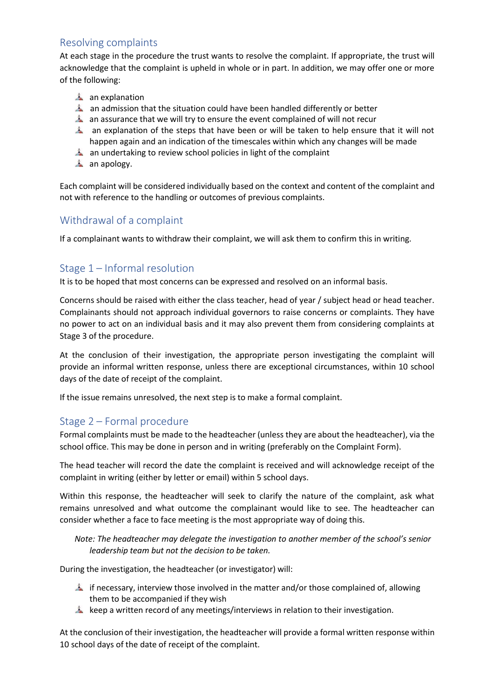## Resolving complaints

At each stage in the procedure the trust wants to resolve the complaint. If appropriate, the trust will acknowledge that the complaint is upheld in whole or in part. In addition, we may offer one or more of the following:

- $\triangle$  an explanation
- an admission that the situation could have been handled differently or better
- **A** an assurance that we will try to ensure the event complained of will not recur
- **A** an explanation of the steps that have been or will be taken to help ensure that it will not happen again and an indication of the timescales within which any changes will be made
- **A** an undertaking to review school policies in light of the complaint
- $\triangle$  an apology.

Each complaint will be considered individually based on the context and content of the complaint and not with reference to the handling or outcomes of previous complaints.

## Withdrawal of a complaint

If a complainant wants to withdraw their complaint, we will ask them to confirm this in writing.

## Stage 1 – Informal resolution

It is to be hoped that most concerns can be expressed and resolved on an informal basis.

Concerns should be raised with either the class teacher, head of year / subject head or head teacher. Complainants should not approach individual governors to raise concerns or complaints. They have no power to act on an individual basis and it may also prevent them from considering complaints at Stage 3 of the procedure.

At the conclusion of their investigation, the appropriate person investigating the complaint will provide an informal written response, unless there are exceptional circumstances, within 10 school days of the date of receipt of the complaint.

If the issue remains unresolved, the next step is to make a formal complaint.

## Stage 2 – Formal procedure

Formal complaints must be made to the headteacher (unless they are about the headteacher), via the school office. This may be done in person and in writing (preferably on the Complaint Form).

The head teacher will record the date the complaint is received and will acknowledge receipt of the complaint in writing (either by letter or email) within 5 school days.

Within this response, the headteacher will seek to clarify the nature of the complaint, ask what remains unresolved and what outcome the complainant would like to see. The headteacher can consider whether a face to face meeting is the most appropriate way of doing this.

*Note: The headteacher may delegate the investigation to another member of the school's senior leadership team but not the decision to be taken.*

During the investigation, the headteacher (or investigator) will:

- if necessary, interview those involved in the matter and/or those complained of, allowing them to be accompanied if they wish
- keep a written record of any meetings/interviews in relation to their investigation.

At the conclusion of their investigation, the headteacher will provide a formal written response within 10 school days of the date of receipt of the complaint.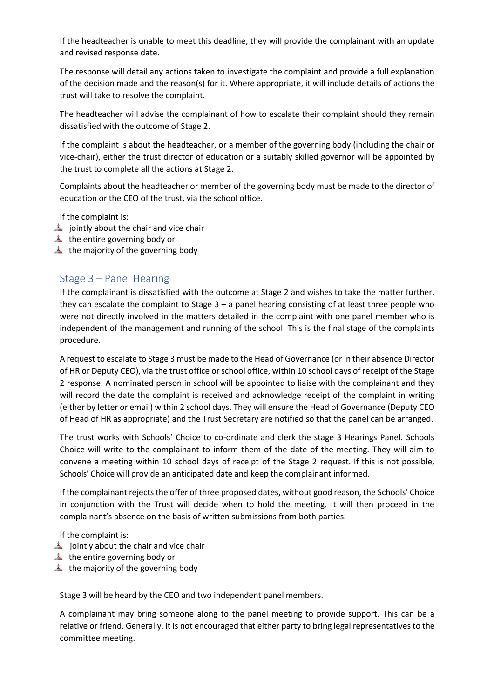If the headteacher is unable to meet this deadline, they will provide the complainant with an update and revised response date.

The response will detail any actions taken to investigate the complaint and provide a full explanation of the decision made and the reason(s) for it. Where appropriate, it will include details of actions the trust will take to resolve the complaint.

The headteacher will advise the complainant of how to escalate their complaint should they remain dissatisfied with the outcome of Stage 2.

If the complaint is about the headteacher, or a member of the governing body (including the chair or vice-chair), either the trust director of education or a suitably skilled governor will be appointed by the trust to complete all the actions at Stage 2.

Complaints about the headteacher or member of the governing body must be made to the director of education or the CEO of the trust, via the school office.

If the complaint is:

- **jointly about the chair and vice chair**
- $\triangle$  the entire governing body or
- $\triangle$  the majority of the governing body

## Stage 3 – Panel Hearing

If the complainant is dissatisfied with the outcome at Stage 2 and wishes to take the matter further, they can escalate the complaint to Stage 3 – a panel hearing consisting of at least three people who were not directly involved in the matters detailed in the complaint with one panel member who is independent of the management and running of the school. This is the final stage of the complaints procedure.

A request to escalate to Stage 3 must be made to the Head of Governance (or in their absence Director of HR or Deputy CEO), via the trust office or school office, within 10 school days of receipt of the Stage 2 response. A nominated person in school will be appointed to liaise with the complainant and they will record the date the complaint is received and acknowledge receipt of the complaint in writing (either by letter or email) within 2 school days. They will ensure the Head of Governance (Deputy CEO of Head of HR as appropriate) and the Trust Secretary are notified so that the panel can be arranged.

The trust works with Schools' Choice to co-ordinate and clerk the stage 3 Hearings Panel. Schools Choice will write to the complainant to inform them of the date of the meeting. They will aim to convene a meeting within 10 school days of receipt of the Stage 2 request. If this is not possible, Schools' Choice will provide an anticipated date and keep the complainant informed.

If the complainant rejects the offer of three proposed dates, without good reason, the Schools' Choice in conjunction with the Trust will decide when to hold the meeting. It will then proceed in the complainant's absence on the basis of written submissions from both parties.

If the complaint is:

- $\triangle$  jointly about the chair and vice chair
- $\triangle$  the entire governing body or
- $\triangle$  the majority of the governing body

Stage 3 will be heard by the CEO and two independent panel members.

A complainant may bring someone along to the panel meeting to provide support. This can be a relative or friend. Generally, it is not encouraged that either party to bring legal representatives to the committee meeting.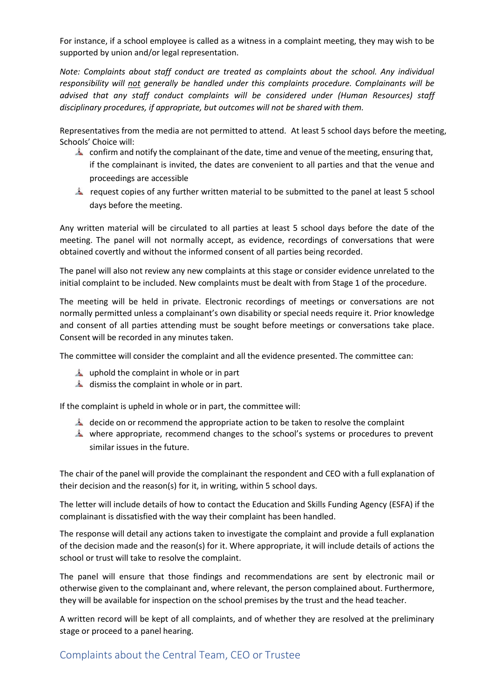For instance, if a school employee is called as a witness in a complaint meeting, they may wish to be supported by union and/or legal representation.

*Note: Complaints about staff conduct are treated as complaints about the school. Any individual responsibility will not generally be handled under this complaints procedure. Complainants will be advised that any staff conduct complaints will be considered under (Human Resources) staff disciplinary procedures, if appropriate, but outcomes will not be shared with them.*

Representatives from the media are not permitted to attend. At least 5 school days before the meeting, Schools' Choice will:

- confirm and notify the complainant of the date, time and venue of the meeting, ensuring that, if the complainant is invited, the dates are convenient to all parties and that the venue and proceedings are accessible
- **A** request copies of any further written material to be submitted to the panel at least 5 school days before the meeting.

Any written material will be circulated to all parties at least 5 school days before the date of the meeting. The panel will not normally accept, as evidence, recordings of conversations that were obtained covertly and without the informed consent of all parties being recorded.

The panel will also not review any new complaints at this stage or consider evidence unrelated to the initial complaint to be included. New complaints must be dealt with from Stage 1 of the procedure.

The meeting will be held in private. Electronic recordings of meetings or conversations are not normally permitted unless a complainant's own disability or special needs require it. Prior knowledge and consent of all parties attending must be sought before meetings or conversations take place. Consent will be recorded in any minutes taken.

The committee will consider the complaint and all the evidence presented. The committee can:

- **A** uphold the complaint in whole or in part
- dismiss the complaint in whole or in part.

If the complaint is upheld in whole or in part, the committee will:

- $\triangle$  decide on or recommend the appropriate action to be taken to resolve the complaint
- where appropriate, recommend changes to the school's systems or procedures to prevent similar issues in the future.

The chair of the panel will provide the complainant the respondent and CEO with a full explanation of their decision and the reason(s) for it, in writing, within 5 school days.

The letter will include details of how to contact the Education and Skills Funding Agency (ESFA) if the complainant is dissatisfied with the way their complaint has been handled.

The response will detail any actions taken to investigate the complaint and provide a full explanation of the decision made and the reason(s) for it. Where appropriate, it will include details of actions the school or trust will take to resolve the complaint.

The panel will ensure that those findings and recommendations are sent by electronic mail or otherwise given to the complainant and, where relevant, the person complained about. Furthermore, they will be available for inspection on the school premises by the trust and the head teacher.

A written record will be kept of all complaints, and of whether they are resolved at the preliminary stage or proceed to a panel hearing.

## Complaints about the Central Team, CEO or Trustee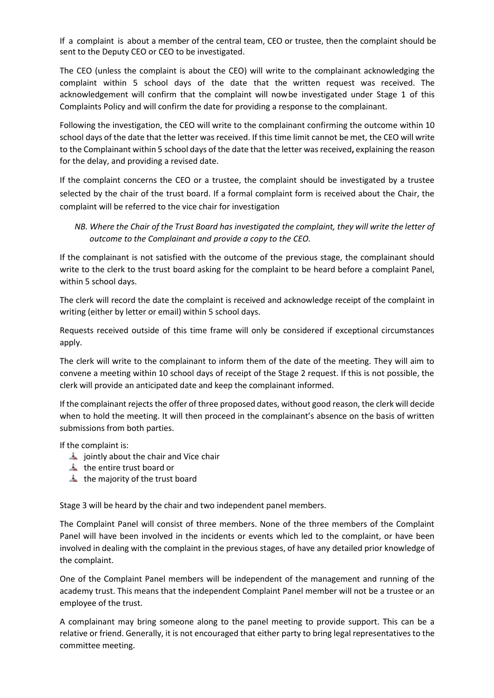If a complaint is about a member of the central team, CEO or trustee, then the complaint should be sent to the Deputy CEO or CEO to be investigated.

The CEO (unless the complaint is about the CEO) will write to the complainant acknowledging the complaint within 5 school days of the date that the written request was received. The acknowledgement will confirm that the complaint will nowbe investigated under Stage 1 of this Complaints Policy and will confirm the date for providing a response to the complainant.

Following the investigation, the CEO will write to the complainant confirming the outcome within 10 school days of the date that the letter was received. If this time limit cannot be met, the CEO will write to the Complainant within 5 school days of the date that the letter was received**,** explaining the reason for the delay, and providing a revised date.

If the complaint concerns the CEO or a trustee, the complaint should be investigated by a trustee selected by the chair of the trust board. If a formal complaint form is received about the Chair, the complaint will be referred to the vice chair for investigation

NB. Where the Chair of the Trust Board has investigated the complaint, they will write the letter of *outcome to the Complainant and provide a copy to the CEO.*

If the complainant is not satisfied with the outcome of the previous stage, the complainant should write to the clerk to the trust board asking for the complaint to be heard before a complaint Panel, within 5 school days.

The clerk will record the date the complaint is received and acknowledge receipt of the complaint in writing (either by letter or email) within 5 school days.

Requests received outside of this time frame will only be considered if exceptional circumstances apply.

The clerk will write to the complainant to inform them of the date of the meeting. They will aim to convene a meeting within 10 school days of receipt of the Stage 2 request. If this is not possible, the clerk will provide an anticipated date and keep the complainant informed.

If the complainant rejects the offer of three proposed dates, without good reason, the clerk will decide when to hold the meeting. It will then proceed in the complainant's absence on the basis of written submissions from both parties.

If the complaint is:

- $\triangle$  jointly about the chair and Vice chair
- $\triangle$  the entire trust board or
- **the majority of the trust board**

Stage 3 will be heard by the chair and two independent panel members.

The Complaint Panel will consist of three members. None of the three members of the Complaint Panel will have been involved in the incidents or events which led to the complaint, or have been involved in dealing with the complaint in the previous stages, of have any detailed prior knowledge of the complaint.

One of the Complaint Panel members will be independent of the management and running of the academy trust. This means that the independent Complaint Panel member will not be a trustee or an employee of the trust.

A complainant may bring someone along to the panel meeting to provide support. This can be a relative or friend. Generally, it is not encouraged that either party to bring legal representatives to the committee meeting.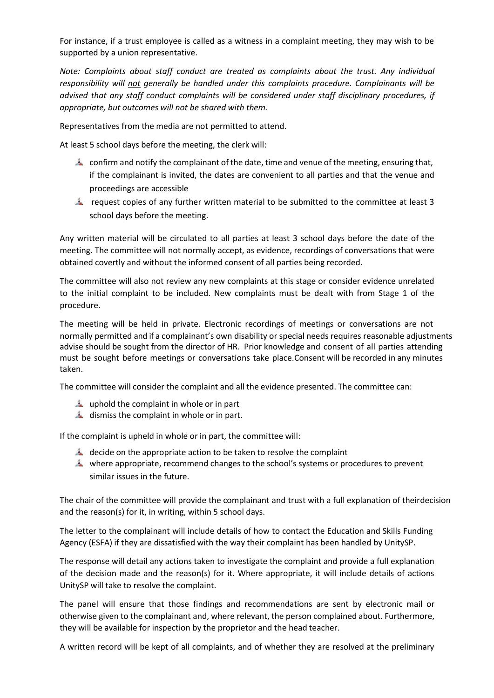For instance, if a trust employee is called as a witness in a complaint meeting, they may wish to be supported by a union representative.

*Note: Complaints about staff conduct are treated as complaints about the trust. Any individual responsibility will not generally be handled under this complaints procedure. Complainants will be advised that any staff conduct complaints will be considered under staff disciplinary procedures, if appropriate, but outcomes will not be shared with them.*

Representatives from the media are not permitted to attend.

At least 5 school days before the meeting, the clerk will:

- $\triangle$  confirm and notify the complainant of the date, time and venue of the meeting, ensuring that, if the complainant is invited, the dates are convenient to all parties and that the venue and proceedings are accessible
- request copies of any further written material to be submitted to the committee at least 3 school days before the meeting.

Any written material will be circulated to all parties at least 3 school days before the date of the meeting. The committee will not normally accept, as evidence, recordings of conversations that were obtained covertly and without the informed consent of all parties being recorded.

The committee will also not review any new complaints at this stage or consider evidence unrelated to the initial complaint to be included. New complaints must be dealt with from Stage 1 of the procedure.

The meeting will be held in private. Electronic recordings of meetings or conversations are not normally permitted and if a complainant's own disability or special needs requires reasonable adjustments advise should be sought from the director of HR. Prior knowledge and consent of all parties attending must be sought before meetings or conversations take place.Consent will be recorded in any minutes taken.

The committee will consider the complaint and all the evidence presented. The committee can:

- **4** uphold the complaint in whole or in part
- dismiss the complaint in whole or in part.

If the complaint is upheld in whole or in part, the committee will:

- $\triangle$  decide on the appropriate action to be taken to resolve the complaint
- where appropriate, recommend changes to the school's systems or procedures to prevent similar issues in the future.

The chair of the committee will provide the complainant and trust with a full explanation of theirdecision and the reason(s) for it, in writing, within 5 school days.

The letter to the complainant will include details of how to contact the Education and Skills Funding Agency (ESFA) if they are dissatisfied with the way their complaint has been handled by UnitySP.

The response will detail any actions taken to investigate the complaint and provide a full explanation of the decision made and the reason(s) for it. Where appropriate, it will include details of actions UnitySP will take to resolve the complaint.

The panel will ensure that those findings and recommendations are sent by electronic mail or otherwise given to the complainant and, where relevant, the person complained about. Furthermore, they will be available for inspection by the proprietor and the head teacher.

A written record will be kept of all complaints, and of whether they are resolved at the preliminary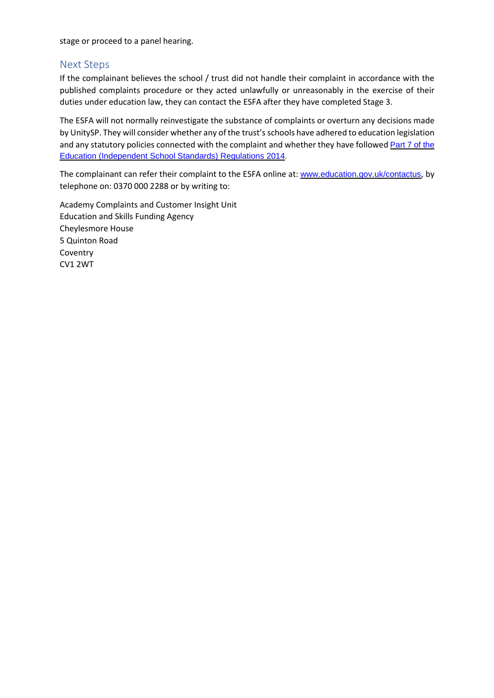stage or proceed to a panel hearing.

#### Next Steps

If the complainant believes the school / trust did not handle their complaint in accordance with the published complaints procedure or they acted unlawfully or unreasonably in the exercise of their duties under education law, they can contact the ESFA after they have completed Stage 3.

The ESFA will not normally reinvestigate the substance of complaints or overturn any decisions made by UnitySP. They will consider whether any of the trust's schools have adhered to education legislation and any statutory policies connected with the complaint and whether they have followed [Part](http://www.legislation.gov.uk/uksi/2010/1997/schedule/1/made) 7 of the Education (Independent School [Standards\) Regulations 2014](http://www.legislation.gov.uk/uksi/2010/1997/schedule/1/made).

The complainant can refer their complaint to the ESFA online at: [www.education.gov.uk/contactus](http://www.education.gov.uk/contactus), by telephone on: 0370 000 2288 or by writing to:

Academy Complaints and Customer Insight Unit Education and Skills Funding Agency Cheylesmore House 5 Quinton Road Coventry CV1 2WT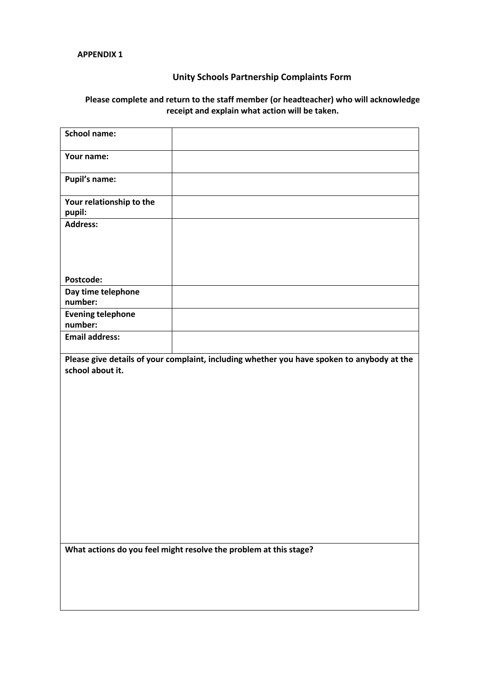#### **APPENDIX 1**

## **Unity Schools Partnership Complaints Form**

## **Please complete and return to the staff member (or headteacher) who will acknowledge receipt and explain what action will be taken.**

| <b>School name:</b>                 |                                                                                                                                                                 |  |  |  |
|-------------------------------------|-----------------------------------------------------------------------------------------------------------------------------------------------------------------|--|--|--|
| Your name:                          |                                                                                                                                                                 |  |  |  |
| <b>Pupil's name:</b>                |                                                                                                                                                                 |  |  |  |
| Your relationship to the<br>pupil:  |                                                                                                                                                                 |  |  |  |
| <b>Address:</b>                     |                                                                                                                                                                 |  |  |  |
|                                     |                                                                                                                                                                 |  |  |  |
|                                     |                                                                                                                                                                 |  |  |  |
| Postcode:<br>Day time telephone     |                                                                                                                                                                 |  |  |  |
| number:                             |                                                                                                                                                                 |  |  |  |
| <b>Evening telephone</b><br>number: |                                                                                                                                                                 |  |  |  |
| <b>Email address:</b>               |                                                                                                                                                                 |  |  |  |
| school about it.                    | Please give details of your complaint, including whether you have spoken to anybody at the<br>What actions do you feel might resolve the problem at this stage? |  |  |  |
|                                     |                                                                                                                                                                 |  |  |  |
|                                     |                                                                                                                                                                 |  |  |  |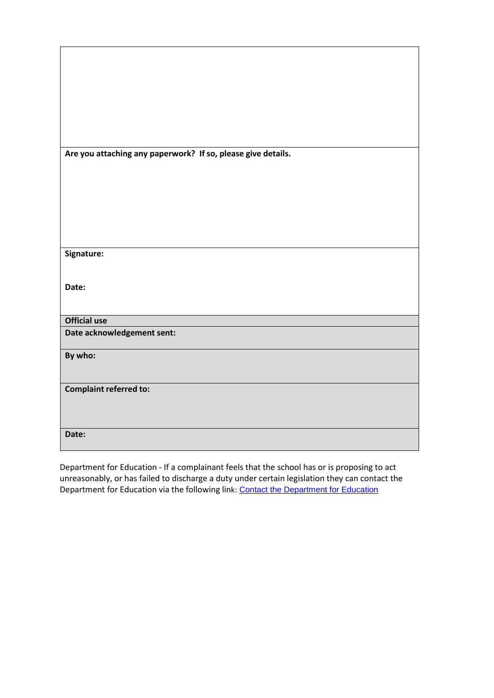| Are you attaching any paperwork? If so, please give details. |
|--------------------------------------------------------------|
|                                                              |
|                                                              |
|                                                              |
|                                                              |
| Signature:                                                   |
|                                                              |
| Date:                                                        |
|                                                              |
| <b>Official use</b>                                          |
| Date acknowledgement sent:                                   |
| By who:                                                      |
|                                                              |
| <b>Complaint referred to:</b>                                |
|                                                              |
| Date:                                                        |
|                                                              |

Department for Education - If a complainant feels that the school has or is proposing to act unreasonably, or has failed to discharge a duty under certain legislation they can contact the Department for Education via the following link: Contact [the Department](https://form.education.gov.uk/fillform.php?self=1&form_id=cCCNJ1xSfBE&type=form&ShowMsg=1&form_name=Contact%2Bthe%2BDepartment%2Bfor%2BEducation&noRegister=false&ret=%2Fmodule%2Fservices&noLoginPrompt=1) for Education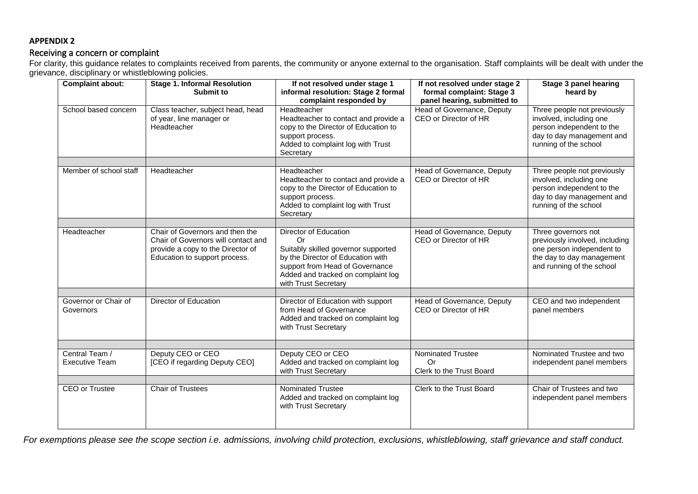#### **APPENDIX 2**

#### Receiving a concern or complaint

For clarity, this guidance relates to complaints received from parents, the community or anyone external to the organisation. Staff complaints will be dealt with under the grievance, disciplinary or whistleblowing policies.

| <b>Complaint about:</b>                 | <b>Stage 1. Informal Resolution</b><br>Submit to                                                                                             | If not resolved under stage 1<br>informal resolution: Stage 2 formal<br>complaint responded by                                                                                                           | If not resolved under stage 2<br>formal complaint: Stage 3<br>panel hearing, submitted to | <b>Stage 3 panel hearing</b><br>heard by                                                                                                     |
|-----------------------------------------|----------------------------------------------------------------------------------------------------------------------------------------------|----------------------------------------------------------------------------------------------------------------------------------------------------------------------------------------------------------|-------------------------------------------------------------------------------------------|----------------------------------------------------------------------------------------------------------------------------------------------|
| School based concern                    | Class teacher, subject head, head<br>of year, line manager or<br>Headteacher                                                                 | Headteacher<br>Headteacher to contact and provide a<br>copy to the Director of Education to<br>support process.<br>Added to complaint log with Trust<br>Secretary                                        | Head of Governance, Deputy<br>CEO or Director of HR                                       | Three people not previously<br>involved, including one<br>person independent to the<br>day to day management and<br>running of the school    |
| Member of school staff                  | Headteacher                                                                                                                                  | Headteacher<br>Headteacher to contact and provide a<br>copy to the Director of Education to<br>support process.<br>Added to complaint log with Trust<br>Secretary                                        | Head of Governance, Deputy<br>CEO or Director of HR                                       | Three people not previously<br>involved, including one<br>person independent to the<br>day to day management and<br>running of the school    |
|                                         |                                                                                                                                              |                                                                                                                                                                                                          |                                                                                           |                                                                                                                                              |
| Headteacher                             | Chair of Governors and then the<br>Chair of Governors will contact and<br>provide a copy to the Director of<br>Education to support process. | Director of Education<br>Or<br>Suitably skilled governor supported<br>by the Director of Education with<br>support from Head of Governance<br>Added and tracked on complaint log<br>with Trust Secretary | Head of Governance, Deputy<br>CEO or Director of HR                                       | Three governors not<br>previously involved, including<br>one person independent to<br>the day to day management<br>and running of the school |
|                                         |                                                                                                                                              |                                                                                                                                                                                                          |                                                                                           |                                                                                                                                              |
| Governor or Chair of<br>Governors       | <b>Director of Education</b>                                                                                                                 | Director of Education with support<br>from Head of Governance<br>Added and tracked on complaint log<br>with Trust Secretary                                                                              | Head of Governance, Deputy<br>CEO or Director of HR                                       | CEO and two independent<br>panel members                                                                                                     |
|                                         |                                                                                                                                              |                                                                                                                                                                                                          |                                                                                           |                                                                                                                                              |
| Central Team /<br><b>Executive Team</b> | Deputy CEO or CEO<br>[CEO if regarding Deputy CEO]                                                                                           | Deputy CEO or CEO<br>Added and tracked on complaint log<br>with Trust Secretary                                                                                                                          | <b>Nominated Trustee</b><br>Or<br>Clerk to the Trust Board                                | Nominated Trustee and two<br>independent panel members                                                                                       |
|                                         |                                                                                                                                              |                                                                                                                                                                                                          |                                                                                           | Chair of Trustees and two                                                                                                                    |
| CEO or Trustee                          | <b>Chair of Trustees</b>                                                                                                                     | <b>Nominated Trustee</b><br>Added and tracked on complaint log<br>with Trust Secretary                                                                                                                   | Clerk to the Trust Board                                                                  | independent panel members                                                                                                                    |

*For exemptions please see the scope section i.e. admissions, involving child protection, exclusions, whistleblowing, staff grievance and staff conduct.*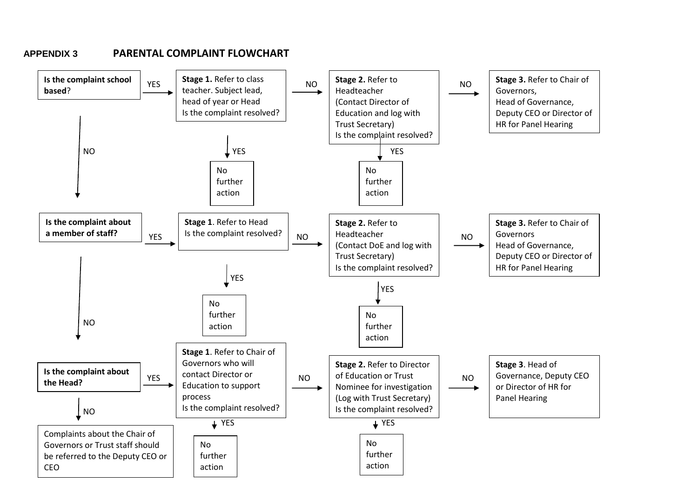## **APPENDIX 3 PARENTAL COMPLAINT FLOWCHART**

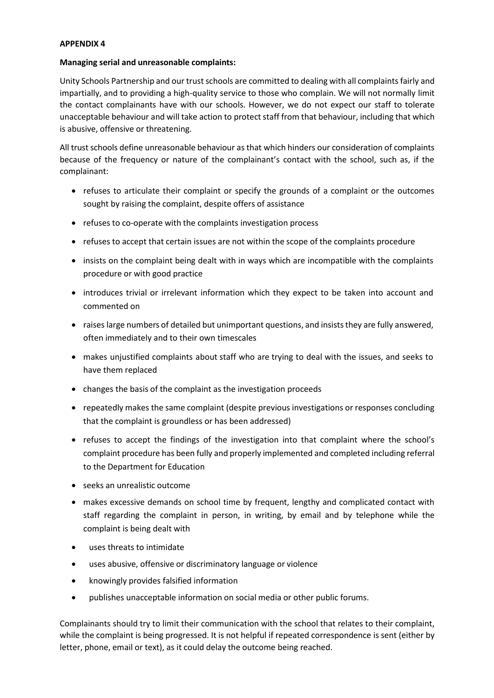#### **APPENDIX 4**

#### **Managing serial and unreasonable complaints:**

Unity Schools Partnership and our trust schools are committed to dealing with all complaints fairly and impartially, and to providing a high-quality service to those who complain. We will not normally limit the contact complainants have with our schools. However, we do not expect our staff to tolerate unacceptable behaviour and will take action to protect staff from that behaviour, including that which is abusive, offensive or threatening.

All trust schools define unreasonable behaviour as that which hinders our consideration of complaints because of the frequency or nature of the complainant's contact with the school, such as, if the complainant:

- refuses to articulate their complaint or specify the grounds of a complaint or the outcomes sought by raising the complaint, despite offers of assistance
- refuses to co-operate with the complaints investigation process
- refuses to accept that certain issues are not within the scope of the complaints procedure
- insists on the complaint being dealt with in ways which are incompatible with the complaints procedure or with good practice
- introduces trivial or irrelevant information which they expect to be taken into account and commented on
- raises large numbers of detailed but unimportant questions, and insists they are fully answered, often immediately and to their own timescales
- makes unjustified complaints about staff who are trying to deal with the issues, and seeks to have them replaced
- changes the basis of the complaint as the investigation proceeds
- repeatedly makes the same complaint (despite previous investigations or responses concluding that the complaint is groundless or has been addressed)
- refuses to accept the findings of the investigation into that complaint where the school's complaint procedure has been fully and properly implemented and completed including referral to the Department for Education
- seeks an unrealistic outcome
- makes excessive demands on school time by frequent, lengthy and complicated contact with staff regarding the complaint in person, in writing, by email and by telephone while the complaint is being dealt with
- uses threats to intimidate
- uses abusive, offensive or discriminatory language or violence
- knowingly provides falsified information
- publishes unacceptable information on social media or other public forums.

Complainants should try to limit their communication with the school that relates to their complaint, while the complaint is being progressed. It is not helpful if repeated correspondence is sent (either by letter, phone, email or text), as it could delay the outcome being reached.